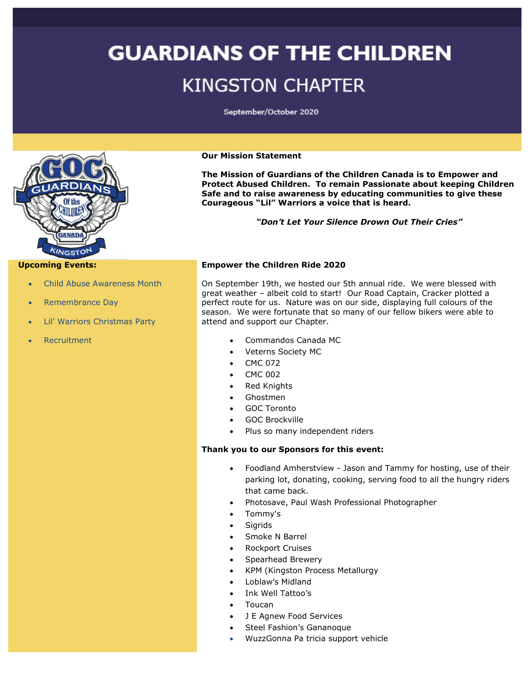## **GUARDIANS OF THE CHILDREN KINGSTON CHAPTER**

September/October 2020



#### **Upcoming Events:**

- Child Abuse Awareness Month
- Remembrance Day
- Lil' Warriors Christmas Party
- **Recruitment**

#### **Our Mission Statement**

**The Mission of Guardians of the Children Canada is to Empower and Protect Abused Children. To remain Passionate about keeping Children Safe and to raise awareness by educating communities to give these Courageous "Lil" Warriors a voice that is heard.**

*"Don't Let Your Silence Drown Out Their Cries"*

#### **Empower the Children Ride 2020**

On September 19th, we hosted our 5th annual ride. We were blessed with great weather – albeit cold to start! Our Road Captain, Cracker plotted a perfect route for us. Nature was on our side, displaying full colours of the season. We were fortunate that so many of our fellow bikers were able to attend and support our Chapter.

- Commandos Canada MC
- Veterns Society MC
- CMC 072
- CMC 002
- **Red Knights**
- Ghostmen
- GOC Toronto
- GOC Brockville
- Plus so many independent riders

### **Thank you to our Sponsors for this event:**

- Foodland Amherstview Jason and Tammy for hosting, use of their parking lot, donating, cooking, serving food to all the hungry riders that came back.
- Photosave, Paul Wash Professional Photographer
- Tommy's
- **Sigrids**
- Smoke N Barrel
- Rockport Cruises
- Spearhead Brewery
- KPM (Kingston Process Metallurgy
- Loblaw's Midland
- Ink Well Tattoo's
- Toucan
- J E Agnew Food Services
- Steel Fashion's Gananoque
- WuzzGonna Pa tricia support vehicle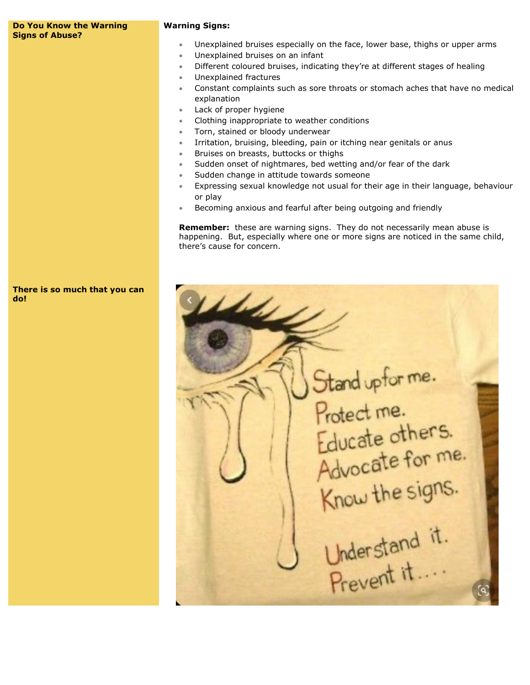#### **Do You Know the Warning Signs of Abuse?**

#### **Warning Signs:**

- Unexplained bruises especially on the face, lower base, thighs or upper arms
- Unexplained bruises on an infant
- Different coloured bruises, indicating they're at different stages of healing
- Unexplained fractures
- Constant complaints such as sore throats or stomach aches that have no medical explanation
- Lack of proper hygiene
- Clothing inappropriate to weather conditions
- Torn, stained or bloody underwear
- Irritation, bruising, bleeding, pain or itching near genitals or anus
- Bruises on breasts, buttocks or thighs
- Sudden onset of nightmares, bed wetting and/or fear of the dark
- Sudden change in attitude towards someone
- Expressing sexual knowledge not usual for their age in their language, behaviour or play
- Becoming anxious and fearful after being outgoing and friendly

**Remember:** these are warning signs. They do not necessarily mean abuse is happening. But, especially where one or more signs are noticed in the same child, there's cause for concern.



**Helen** Stand upforme.<br>Protect me. Educate others. Advocate for me. Advocate for the<br>Know the signs.<br>Understand it.<br>Prevent it....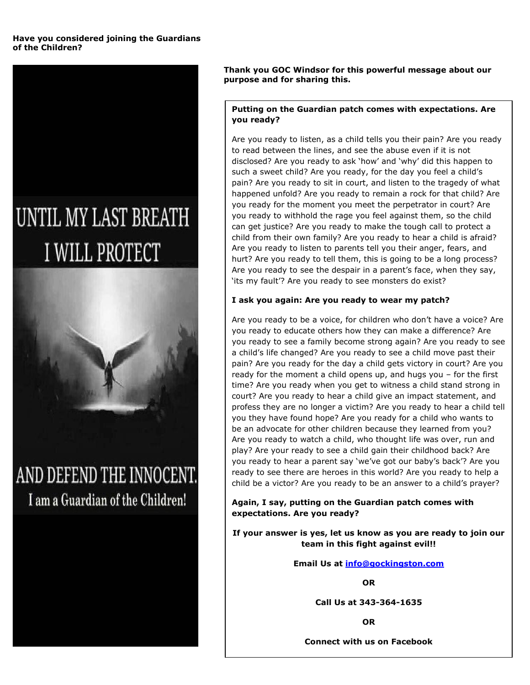#### **Have you considered joining the Guardians of the Children?**

# UNTIL MY LAST BREATH **I WILL PROTECT**

AND DEFEND THE INNOCENT. I am a Guardian of the Children!

**Thank you GOC Windsor for this powerful message about our purpose and for sharing this.**

#### **Putting on the Guardian patch comes with expectations. Are you ready?**

Are you ready to listen, as a child tells you their pain? Are you ready to read between the lines, and see the abuse even if it is not disclosed? Are you ready to ask 'how' and 'why' did this happen to such a sweet child? Are you ready, for the day you feel a child's pain? Are you ready to sit in court, and listen to the tragedy of what happened unfold? Are you ready to remain a rock for that child? Are you ready for the moment you meet the perpetrator in court? Are you ready to withhold the rage you feel against them, so the child can get justice? Are you ready to make the tough call to protect a child from their own family? Are you ready to hear a child is afraid? Are you ready to listen to parents tell you their anger, fears, and hurt? Are you ready to tell them, this is going to be a long process? Are you ready to see the despair in a parent's face, when they say, 'its my fault'? Are you ready to see monsters do exist?

#### **I ask you again: Are you ready to wear my patch?**

Are you ready to be a voice, for children who don't have a voice? Are you ready to educate others how they can make a difference? Are you ready to see a family become strong again? Are you ready to see a child's life changed? Are you ready to see a child move past their pain? Are you ready for the day a child gets victory in court? Are you ready for the moment a child opens up, and hugs you – for the first time? Are you ready when you get to witness a child stand strong in court? Are you ready to hear a child give an impact statement, and profess they are no longer a victim? Are you ready to hear a child tell you they have found hope? Are you ready for a child who wants to be an advocate for other children because they learned from you? Are you ready to watch a child, who thought life was over, run and play? Are your ready to see a child gain their childhood back? Are you ready to hear a parent say 'we've got our baby's back'? Are you ready to see there are heroes in this world? Are you ready to help a child be a victor? Are you ready to be an answer to a child's prayer?

**Again, I say, putting on the Guardian patch comes with expectations. Are you ready?**

**If your answer is yes, let us know as you are ready to join our team in this fight against evil!!**

**Email Us at [info@gockingston.com](mailto:info@gockingston.com)**

**OR**

**Call Us at 343-364-1635**

**OR**

**Connect with us on Facebook**